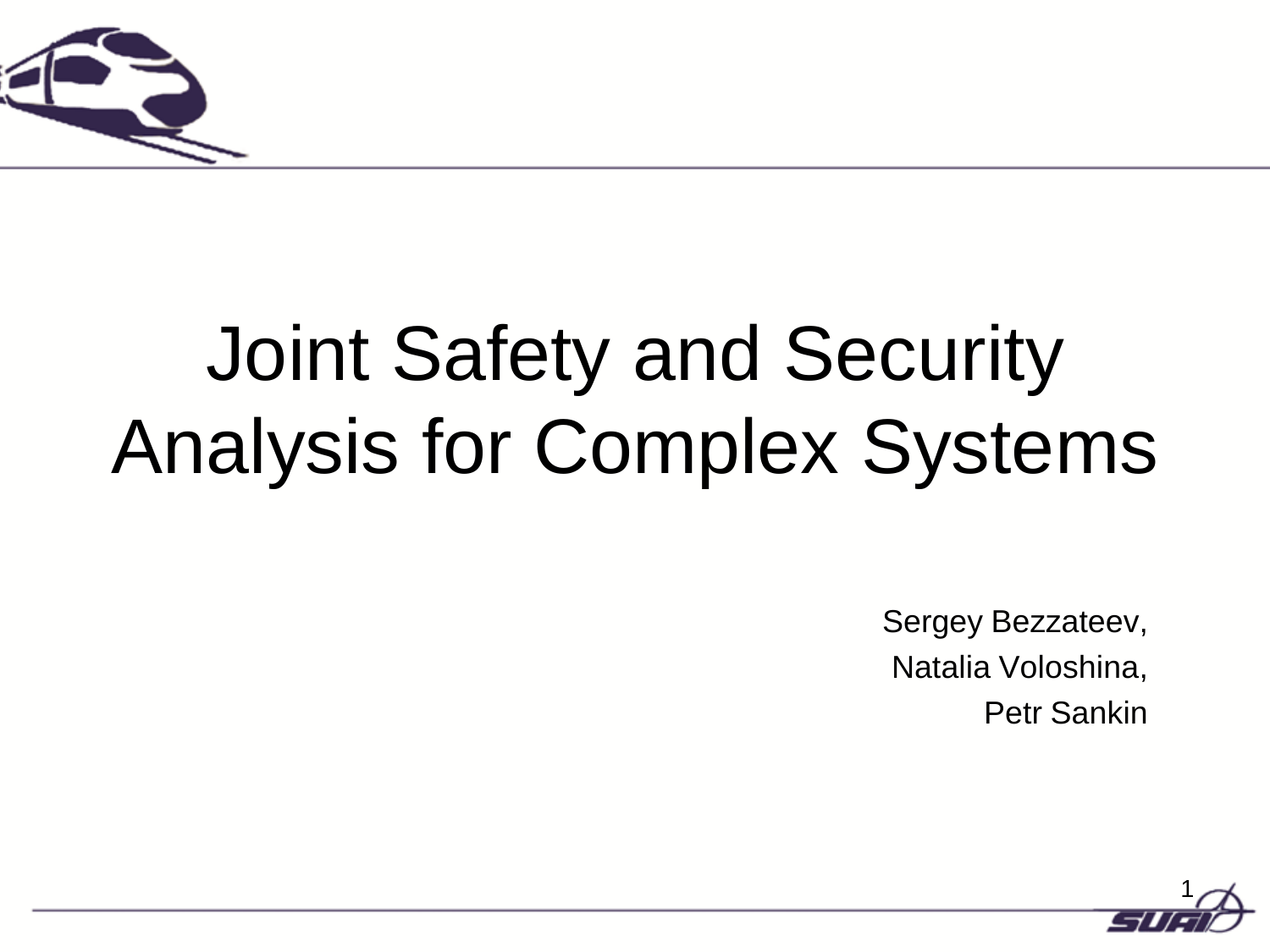

# Joint Safety and Security Analysis for Complex Systems

Sergey Bezzateev, Natalia Voloshina, Petr Sankin

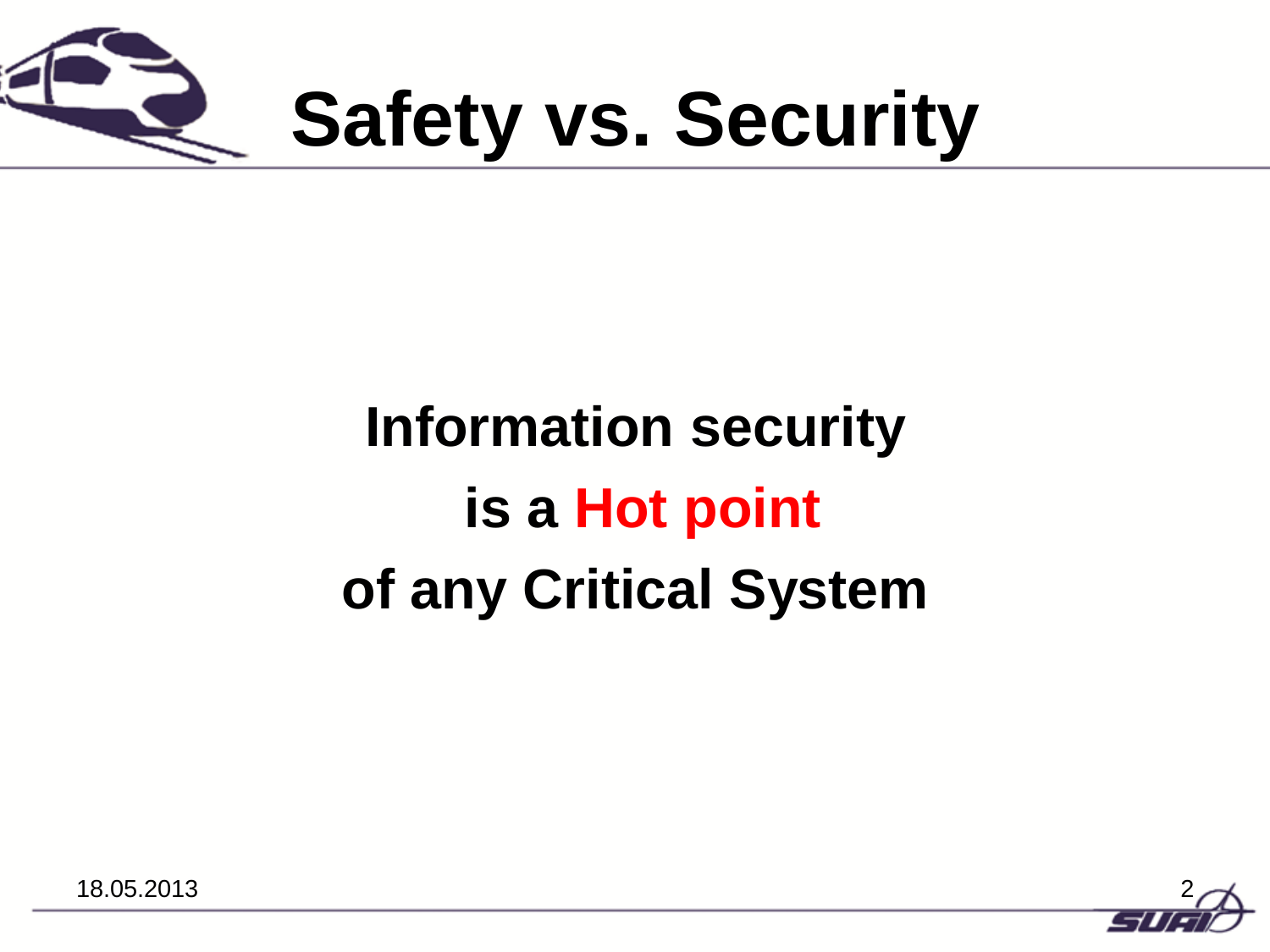

# **Safety vs. Security**

## **Information security is a Hot point of any Critical System**

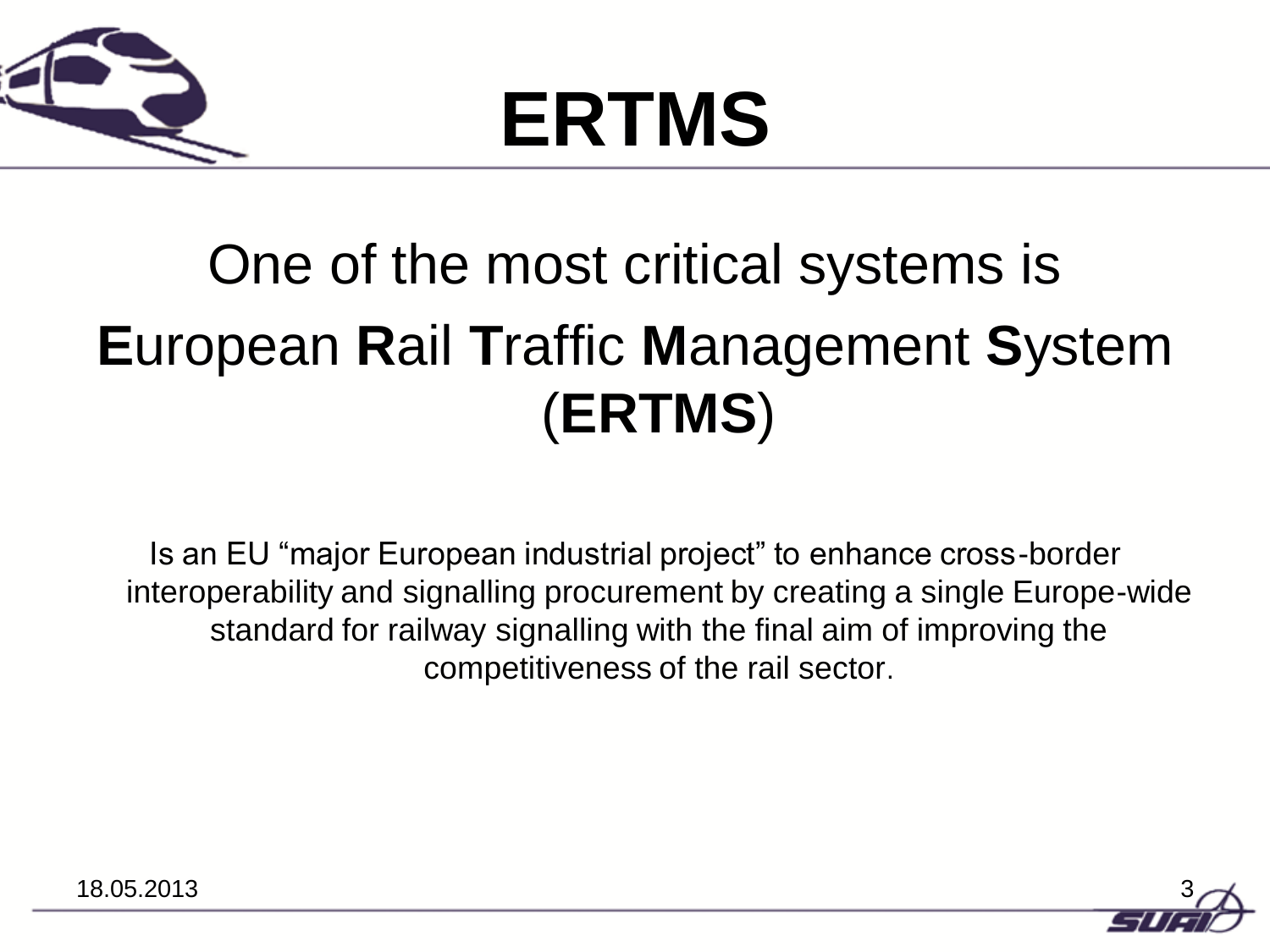

# **ERTMS**

## One of the most critical systems is **E**uropean **R**ail **T**raffic **M**anagement **S**ystem (**ERTMS**)

Is an EU "major European industrial project" to enhance cross-border interoperability and signalling procurement by creating a single Europe-wide standard for railway signalling with the final aim of improving the competitiveness of the rail sector.

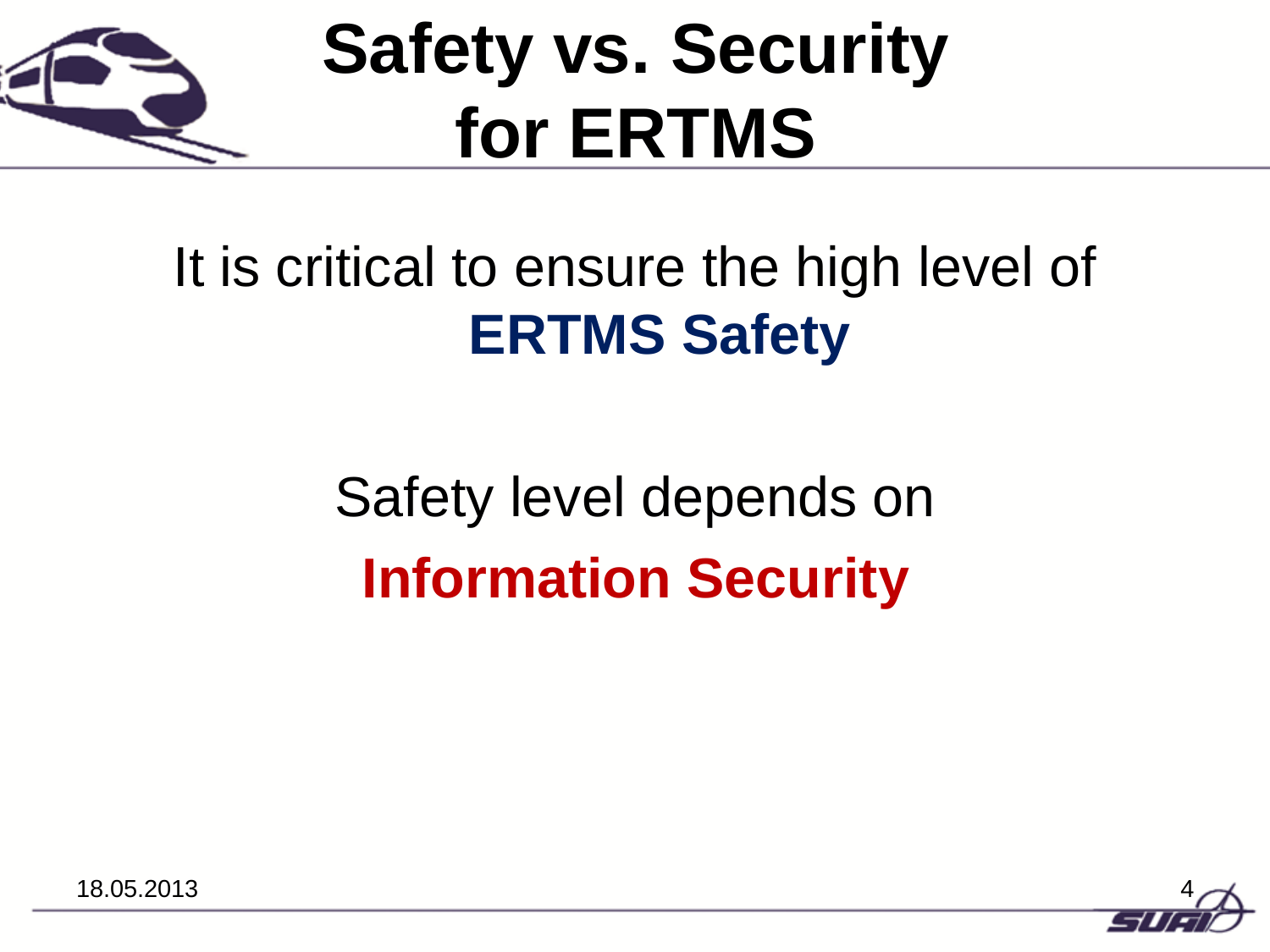

# **Safety vs. Security for ERTMS**

## It is critical to ensure the high level of **ERTMS Safety**

## Safety level depends on **Information Security**

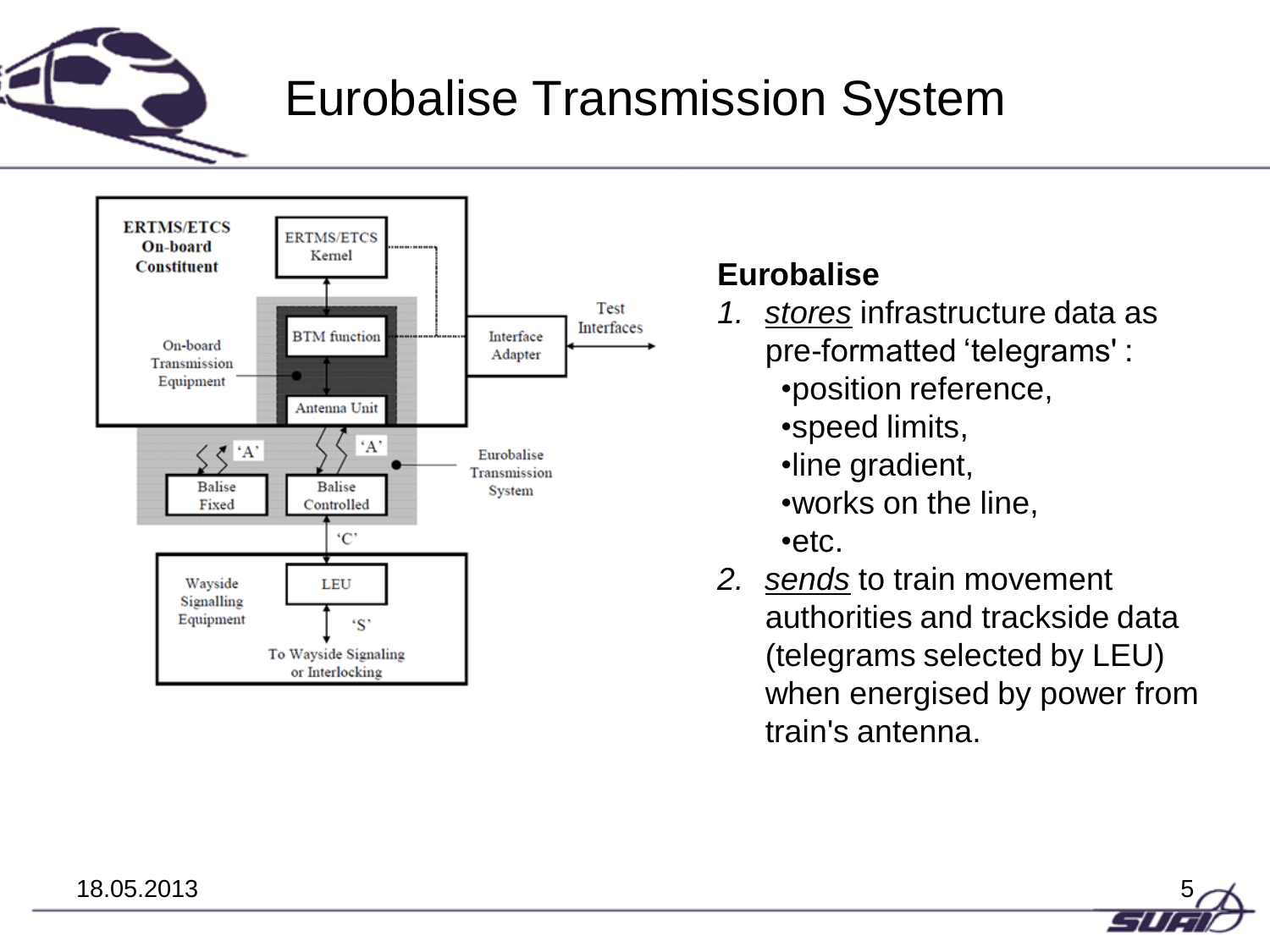

### Eurobalise Transmission System



#### **Eurobalise**

- *1. stores* infrastructure data as pre-formatted 'telegrams' :
	- •position reference,
	- •speed limits,
	- •line gradient,
	- •works on the line,
	- •etc.
- *2. sends* to train movement authorities and trackside data (telegrams selected by LEU) when energised by power from train's antenna.

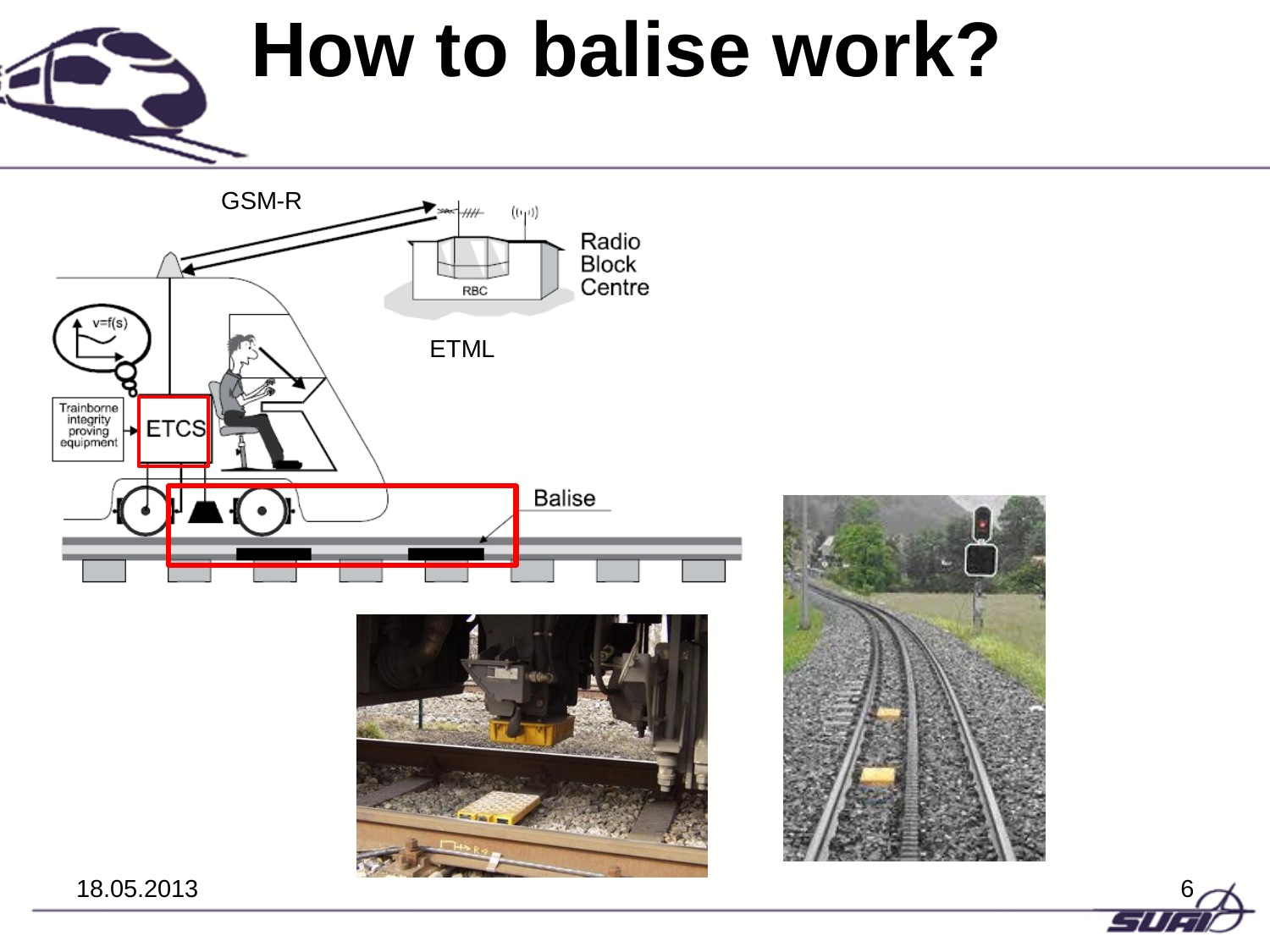# **How to balise work?**





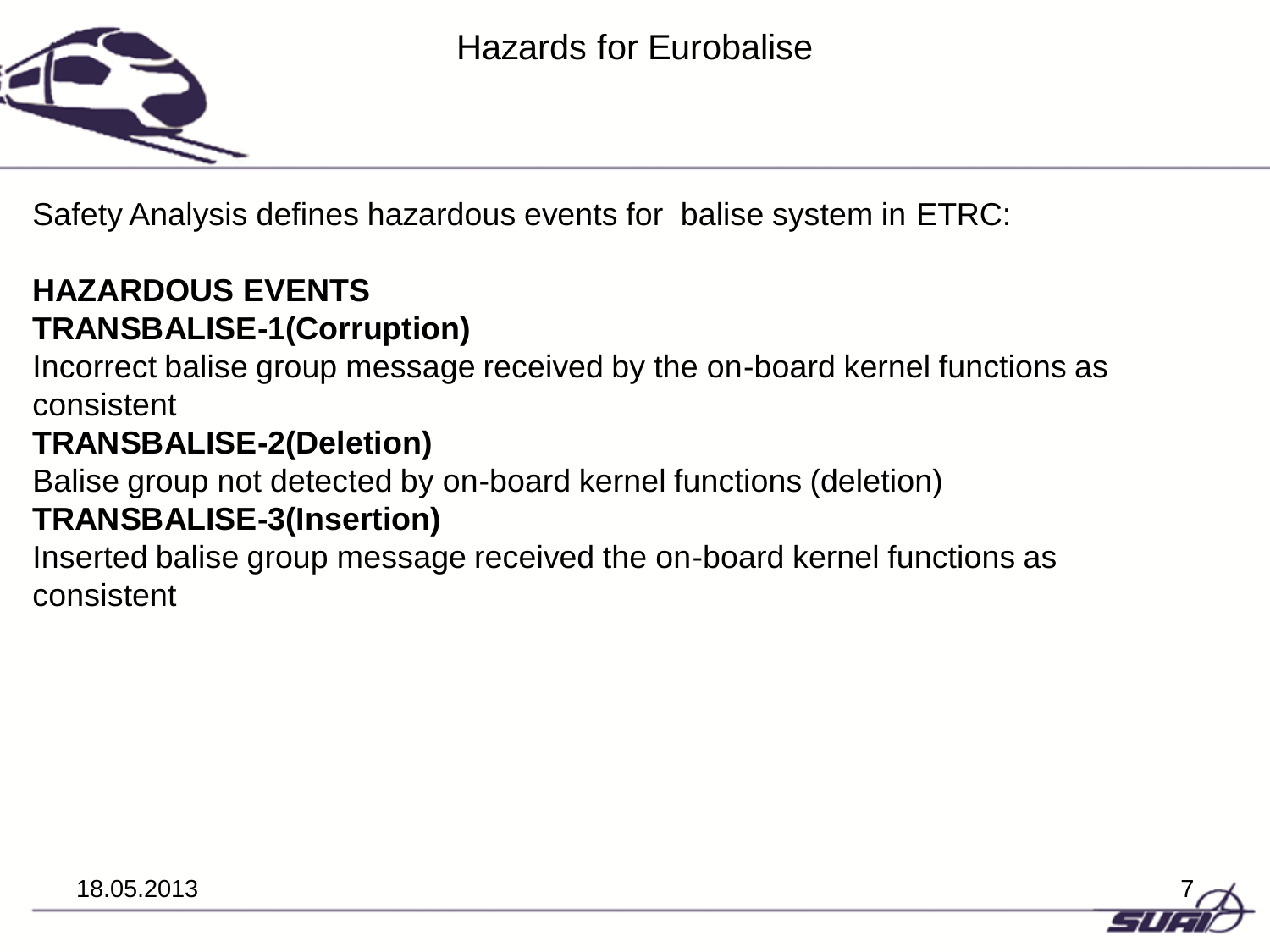

Safety Analysis defines hazardous events for balise system in ETRC:

#### **HAZARDOUS EVENTS TRANSBALISE-1(Corruption)**

Incorrect balise group message received by the on-board kernel functions as consistent

#### **TRANSBALISE-2(Deletion)**

Balise group not detected by on-board kernel functions (deletion)

#### **TRANSBALISE-3(Insertion)**

Inserted balise group message received the on-board kernel functions as consistent

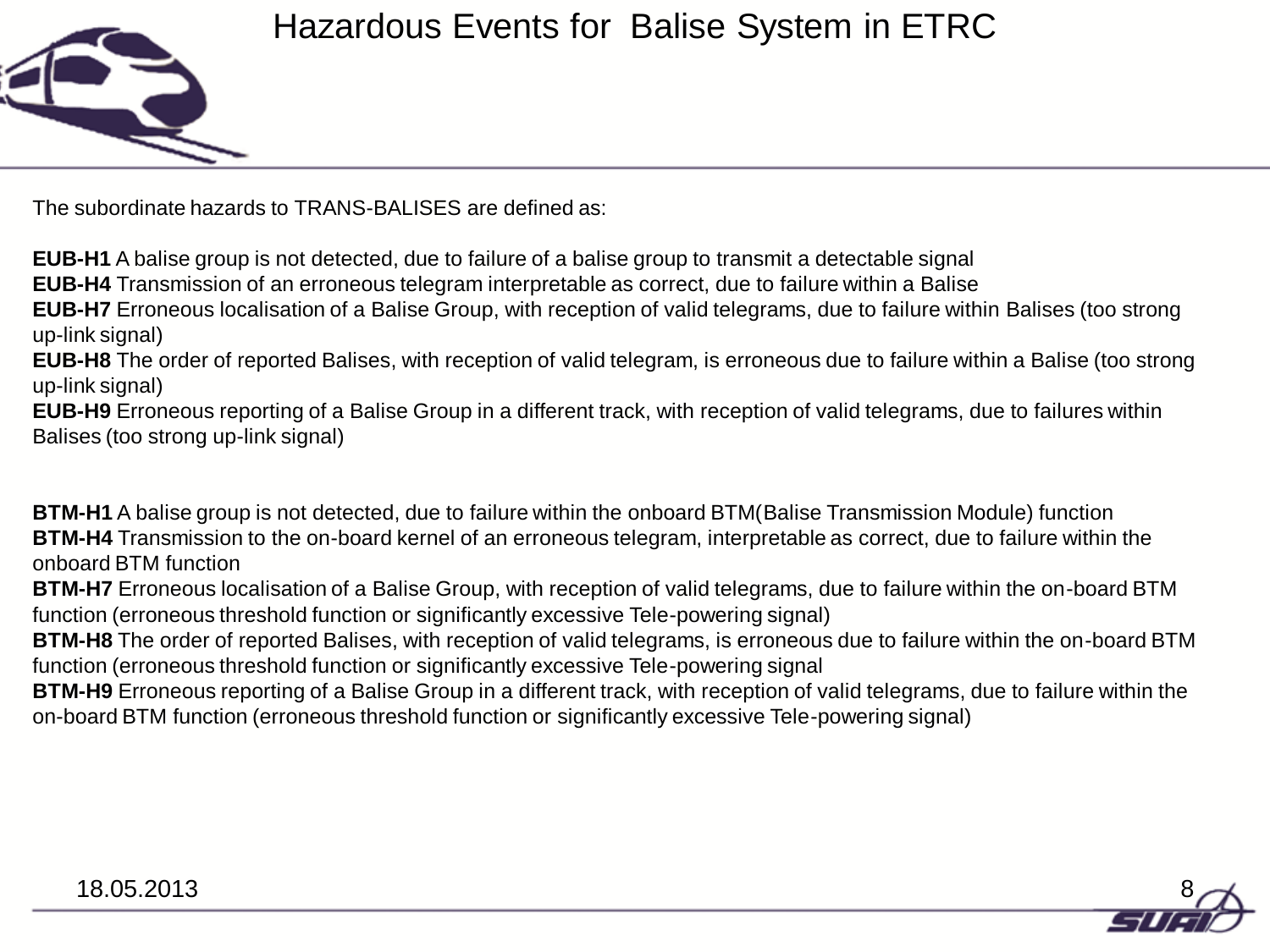

The subordinate hazards to TRANS-BALISES are defined as:

**EUB-H1** A balise group is not detected, due to failure of a balise group to transmit a detectable signal

**EUB-H4** Transmission of an erroneous telegram interpretable as correct, due to failure within a Balise

**EUB-H7** Erroneous localisation of a Balise Group, with reception of valid telegrams, due to failure within Balises (too strong up-link signal)

**EUB-H8** The order of reported Balises, with reception of valid telegram, is erroneous due to failure within a Balise (too strong up-link signal)

**EUB-H9** Erroneous reporting of a Balise Group in a different track, with reception of valid telegrams, due to failures within Balises (too strong up-link signal)

**BTM-H1** A balise group is not detected, due to failure within the onboard BTM(Balise Transmission Module) function **BTM-H4** Transmission to the on-board kernel of an erroneous telegram, interpretable as correct, due to failure within the onboard BTM function

**BTM-H7** Erroneous localisation of a Balise Group, with reception of valid telegrams, due to failure within the on-board BTM function (erroneous threshold function or significantly excessive Tele-powering signal)

**BTM-H8** The order of reported Balises, with reception of valid telegrams, is erroneous due to failure within the on-board BTM function (erroneous threshold function or significantly excessive Tele-powering signal

**BTM-H9** Erroneous reporting of a Balise Group in a different track, with reception of valid telegrams, due to failure within the on-board BTM function (erroneous threshold function or significantly excessive Tele-powering signal)

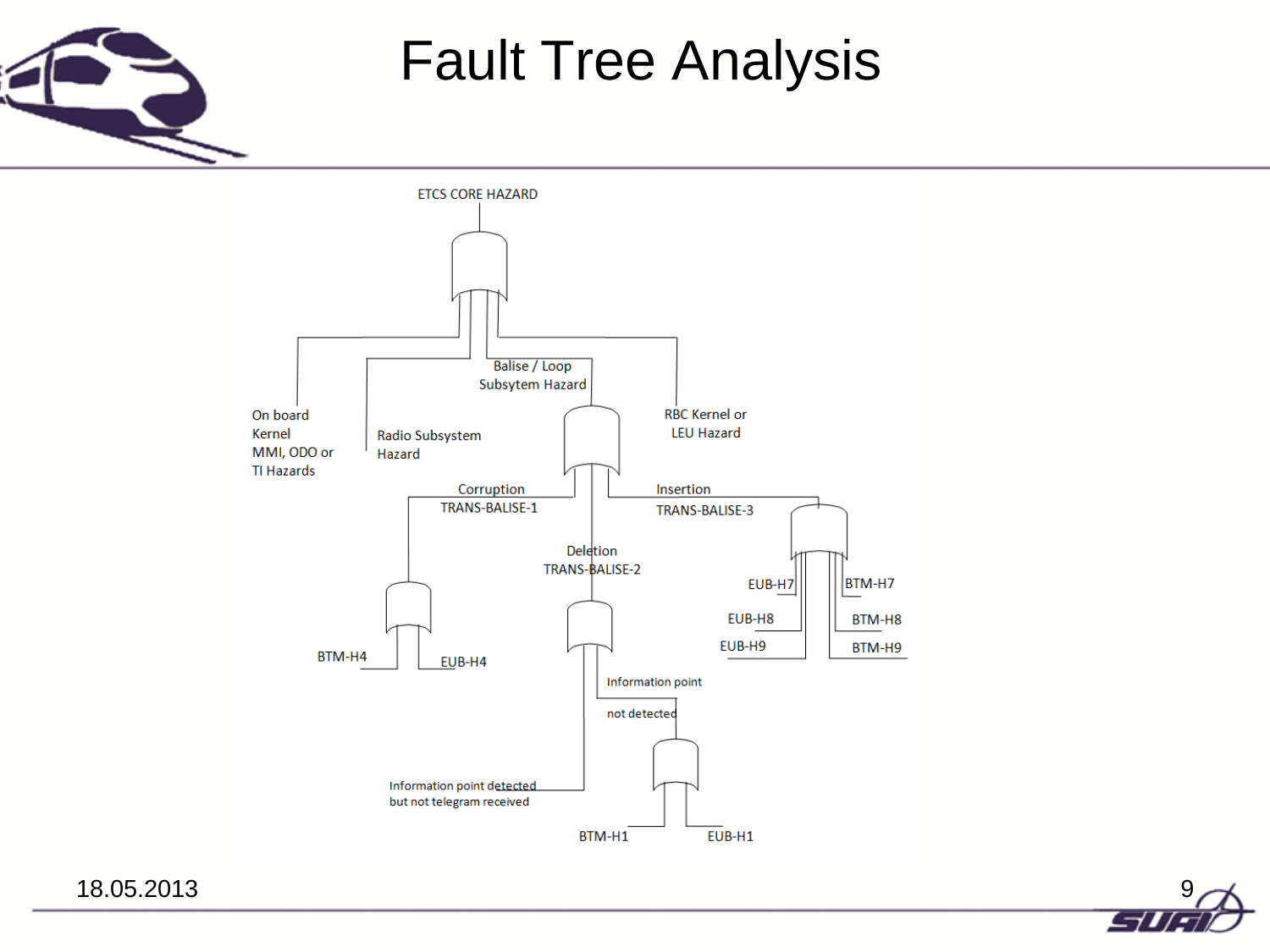

### Fault Tree Analysis

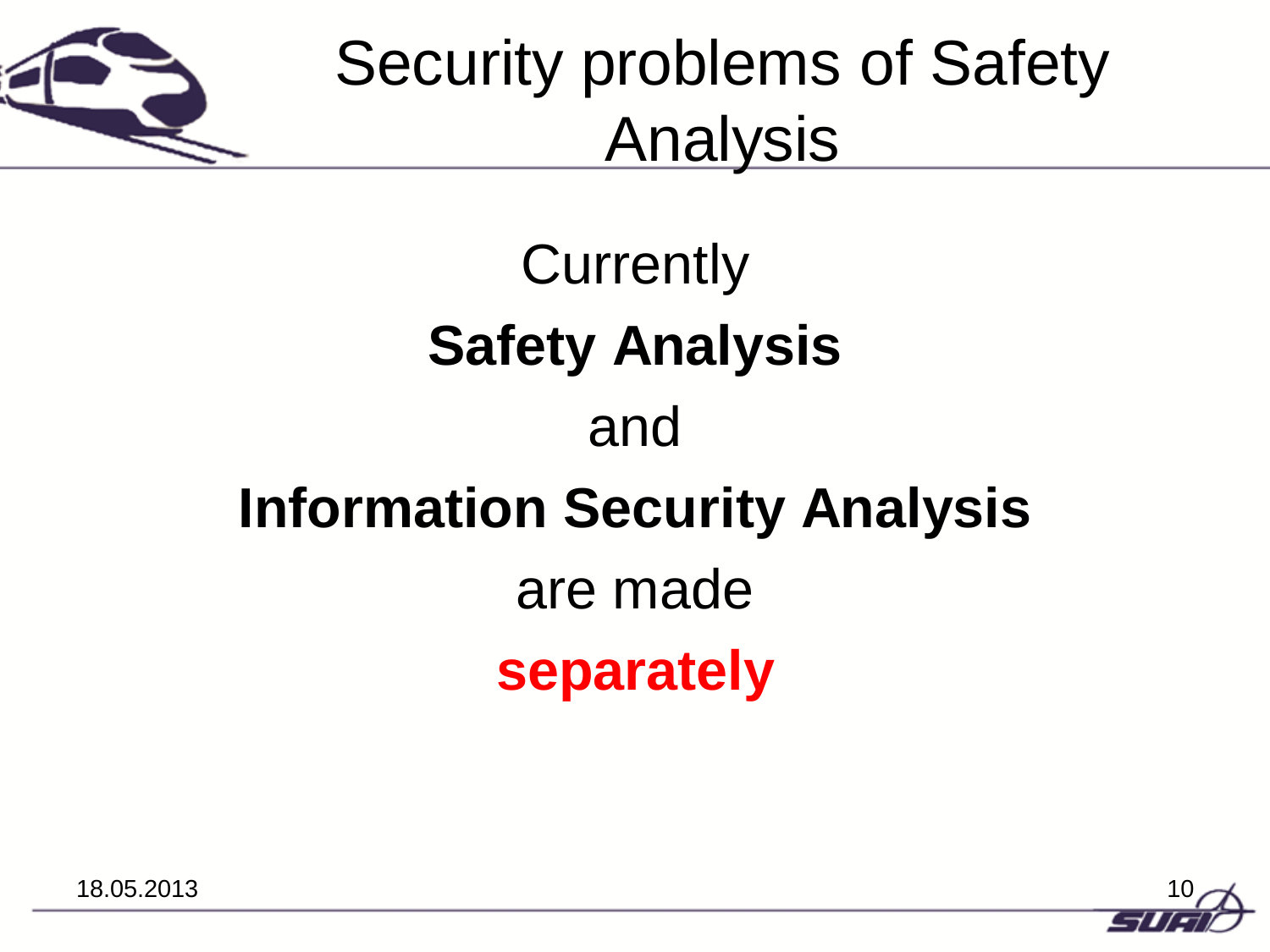

## Security problems of Safety Analysis

## **Currently Safety Analysis**  and **Information Security Analysis**  are made **separately**

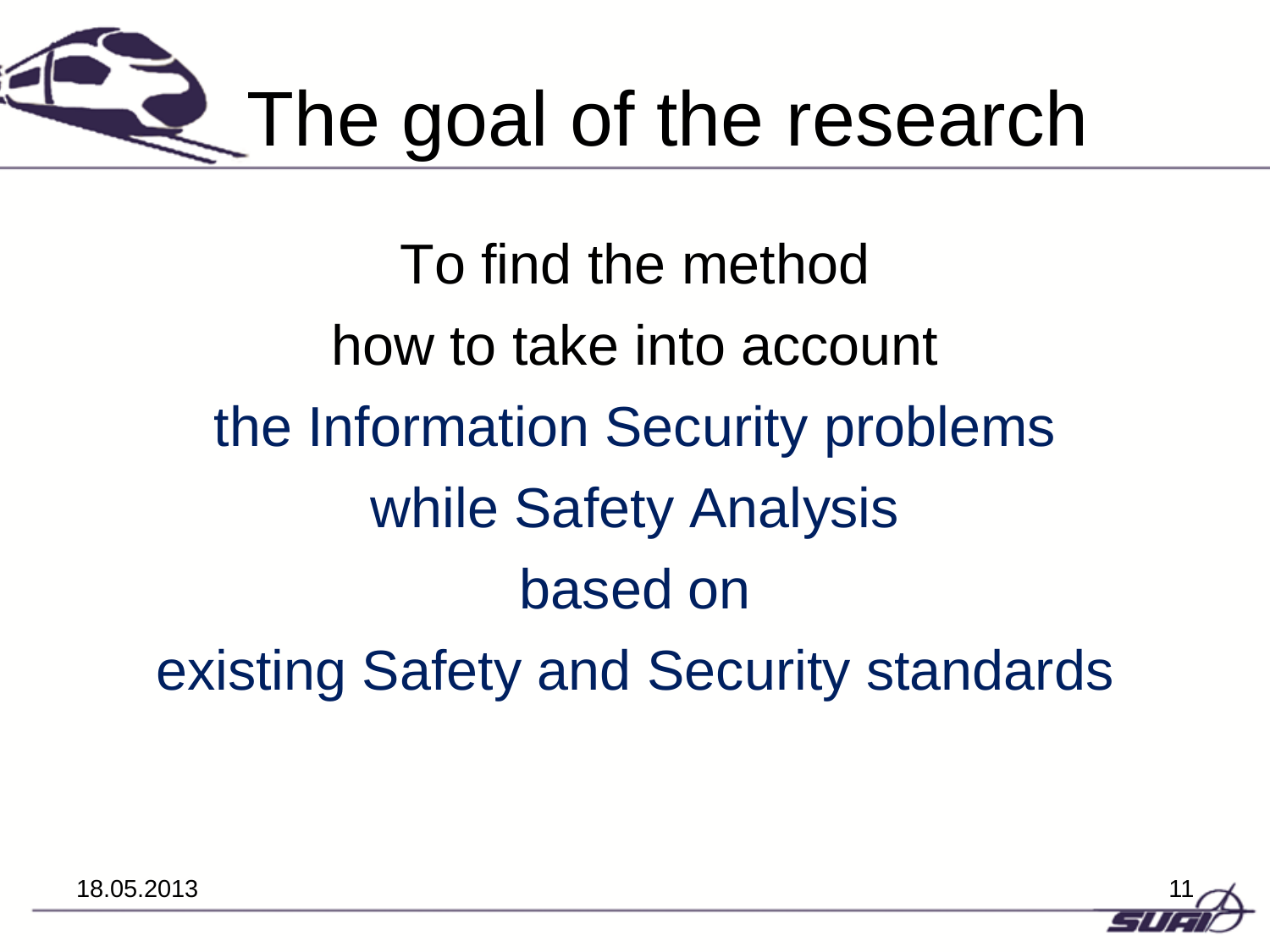

To find the method how to take into account the Information Security problems while Safety Analysis based on existing Safety and Security standards

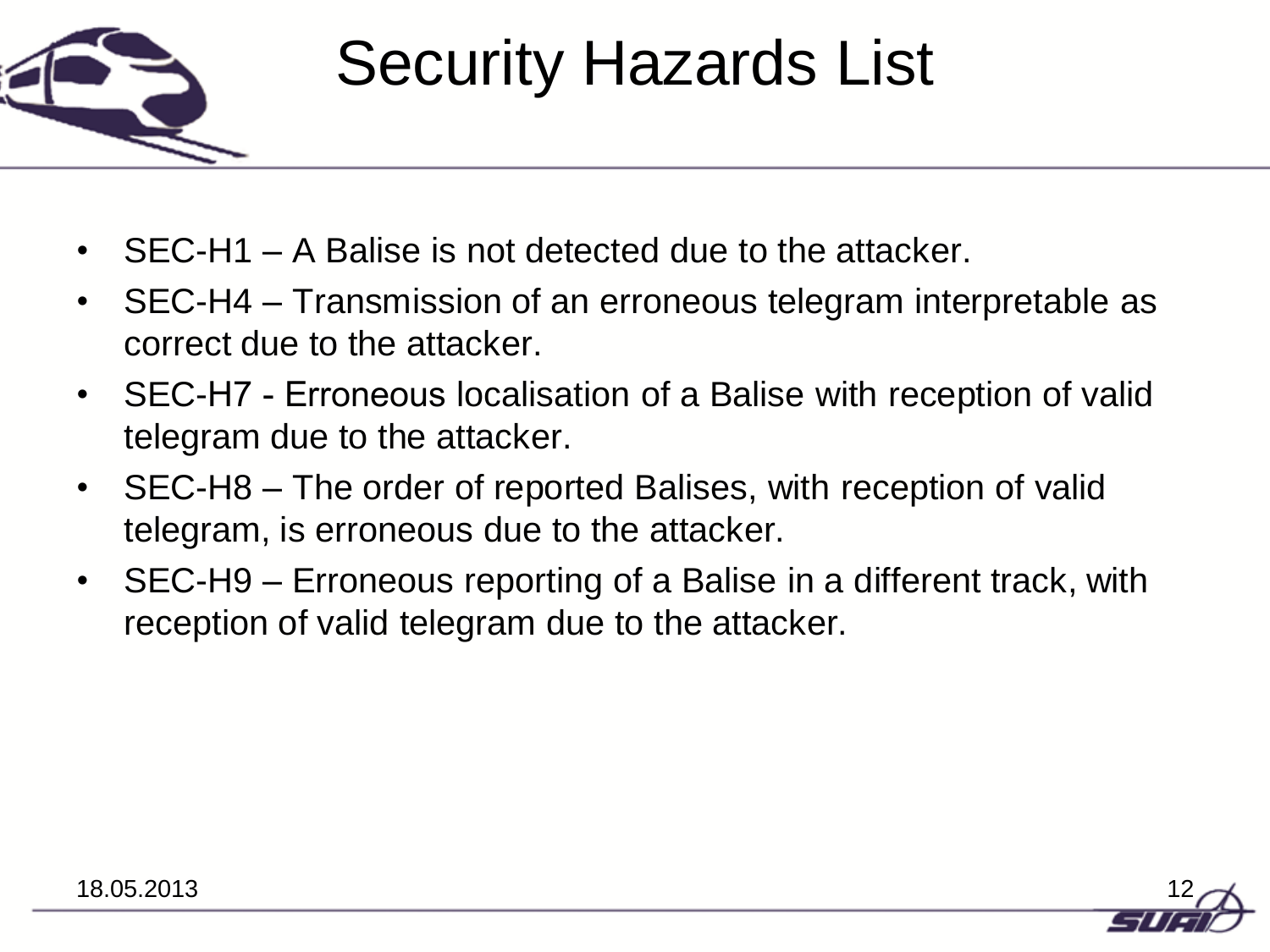

## Security Hazards List

- SEC-H1 A Balise is not detected due to the attacker.
- SEC-H4 Transmission of an erroneous telegram interpretable as correct due to the attacker.
- SEC-H7 Erroneous localisation of a Balise with reception of valid telegram due to the attacker.
- SEC-H8 The order of reported Balises, with reception of valid telegram, is erroneous due to the attacker.
- SEC-H9 Erroneous reporting of a Balise in a different track, with reception of valid telegram due to the attacker.

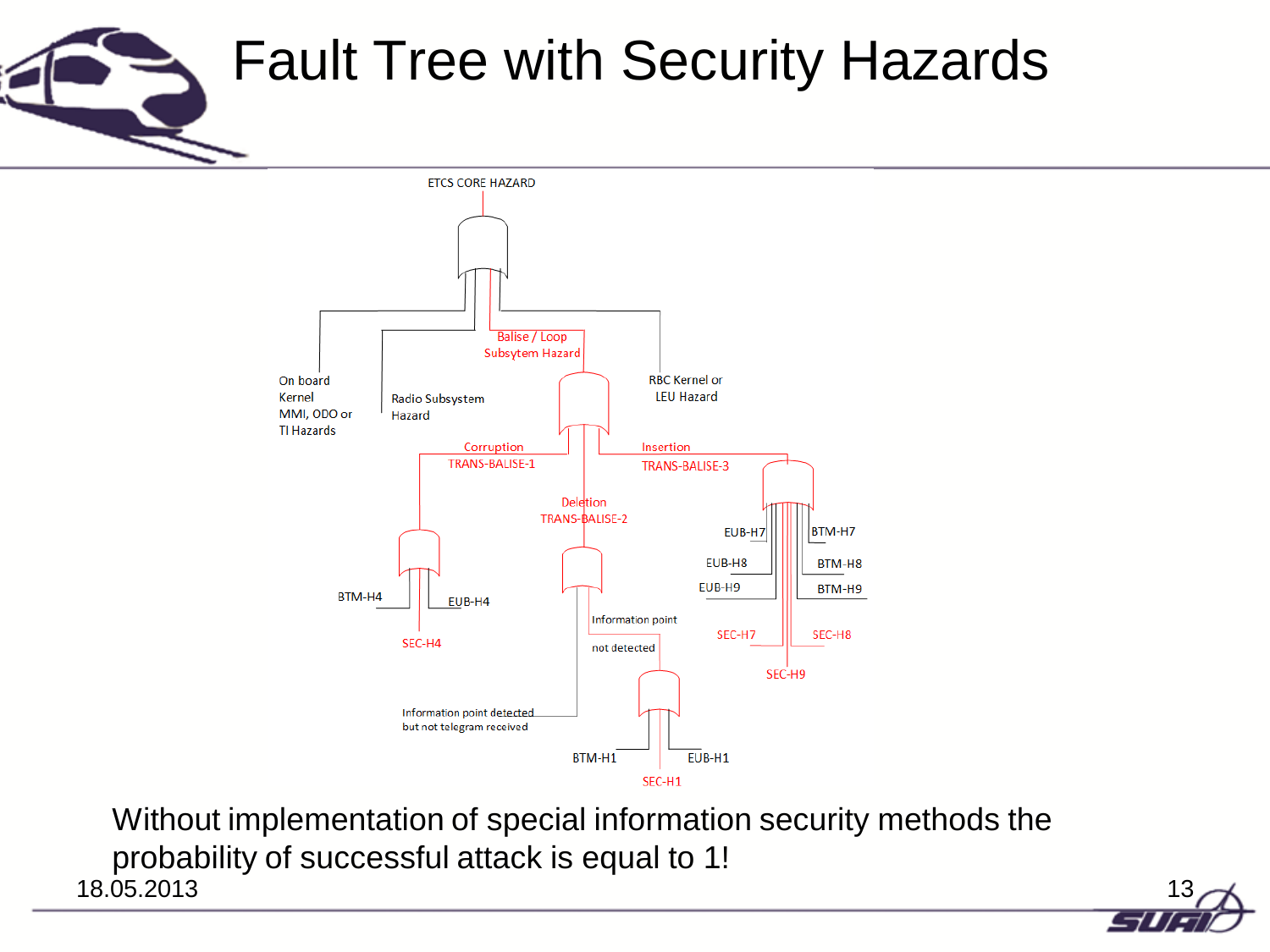## Fault Tree with Security Hazards



18.05.2013 13 Without implementation of special information security methods the probability of successful attack is equal to 1!

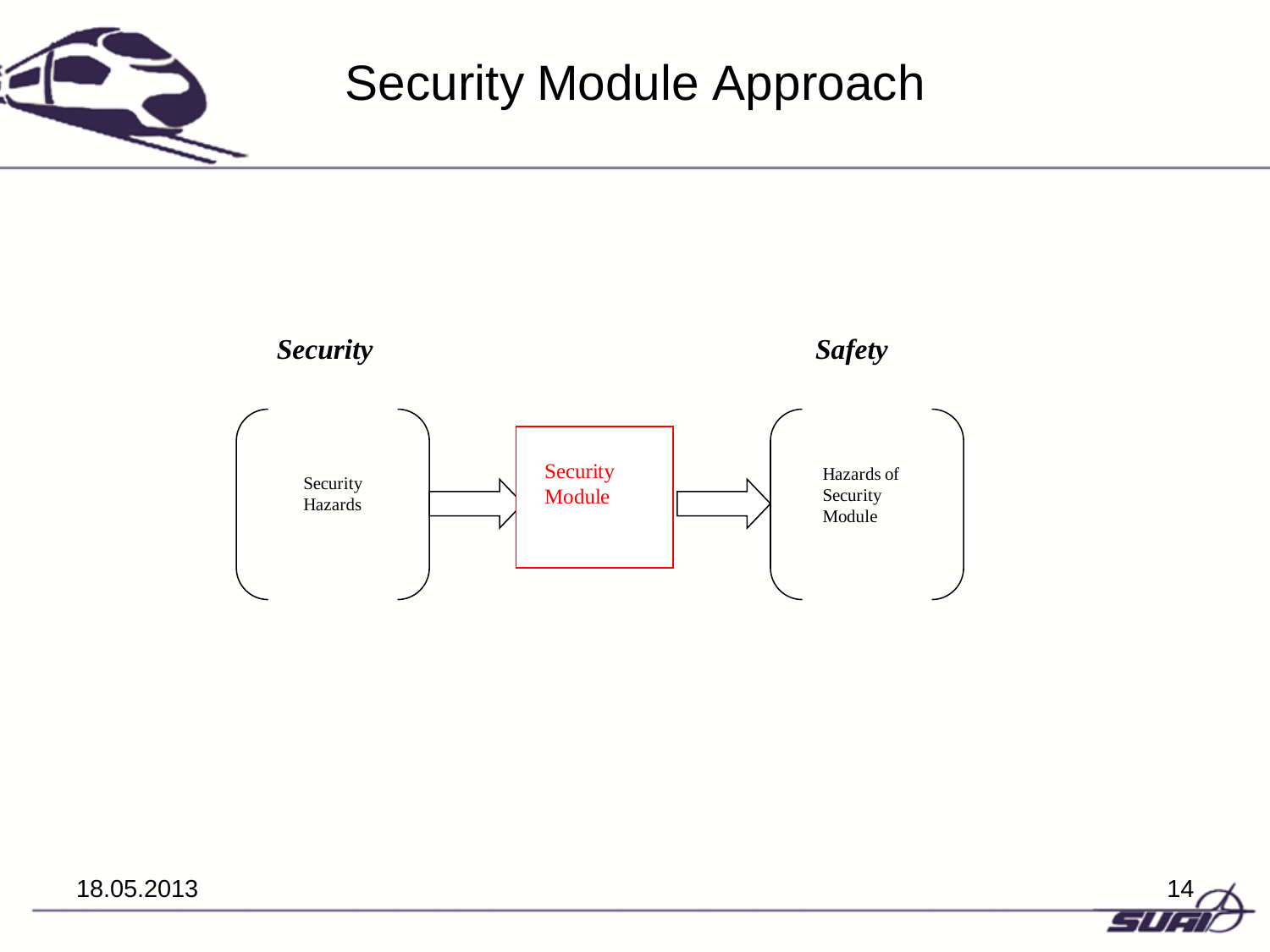

### Security Module Approach





18.05.2013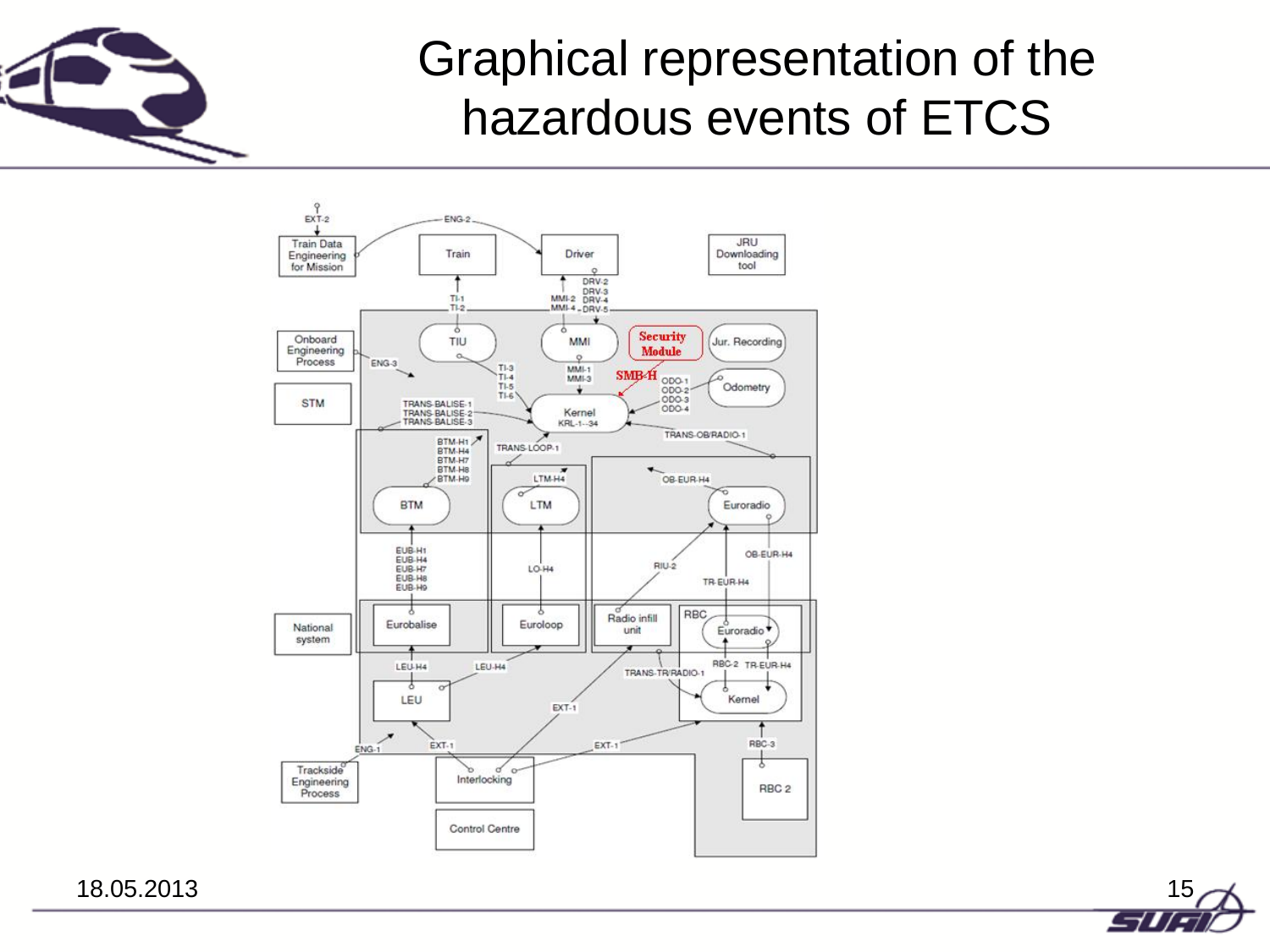

### Graphical representation of the hazardous events of ETCS



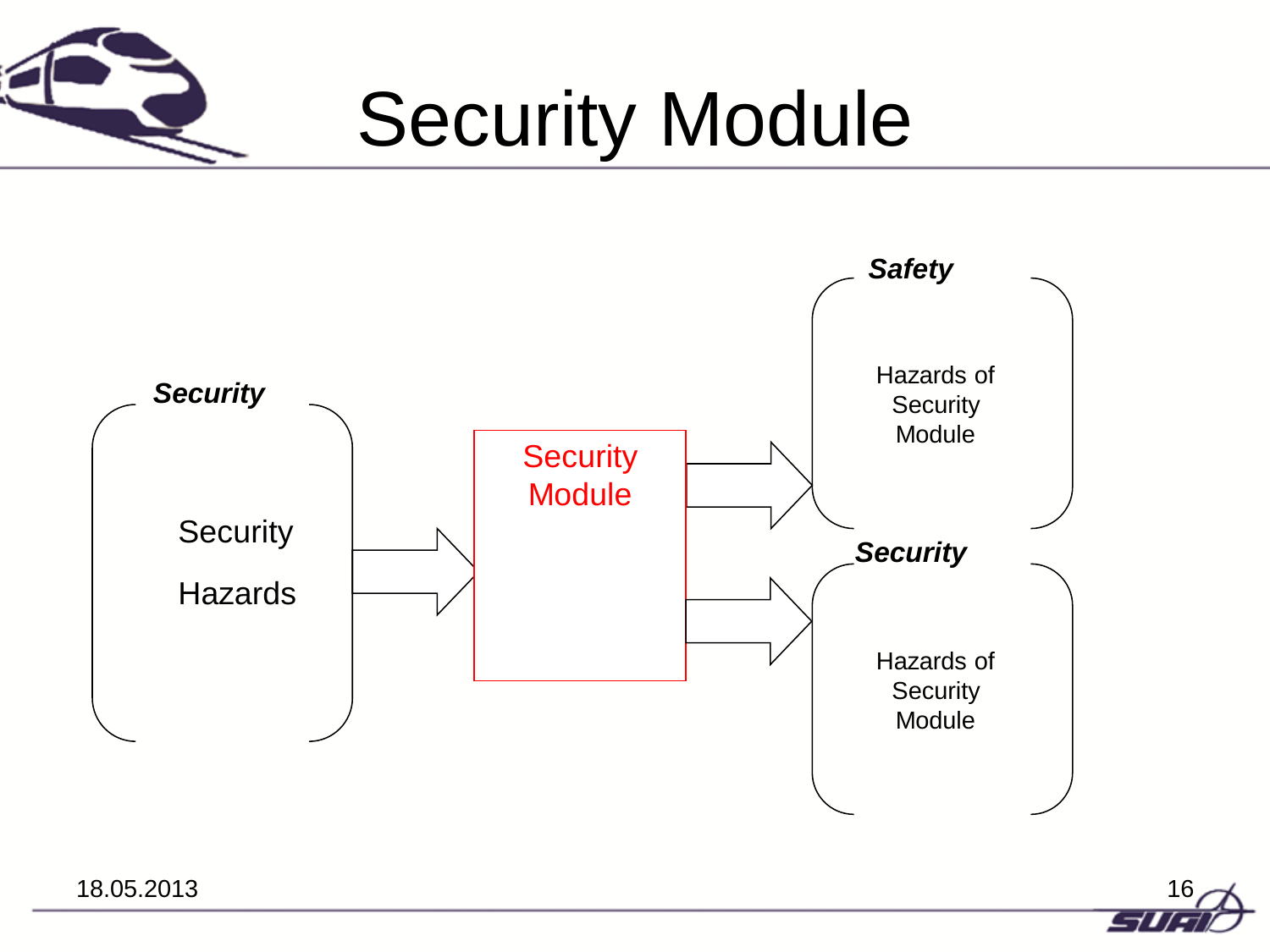

# Security Module



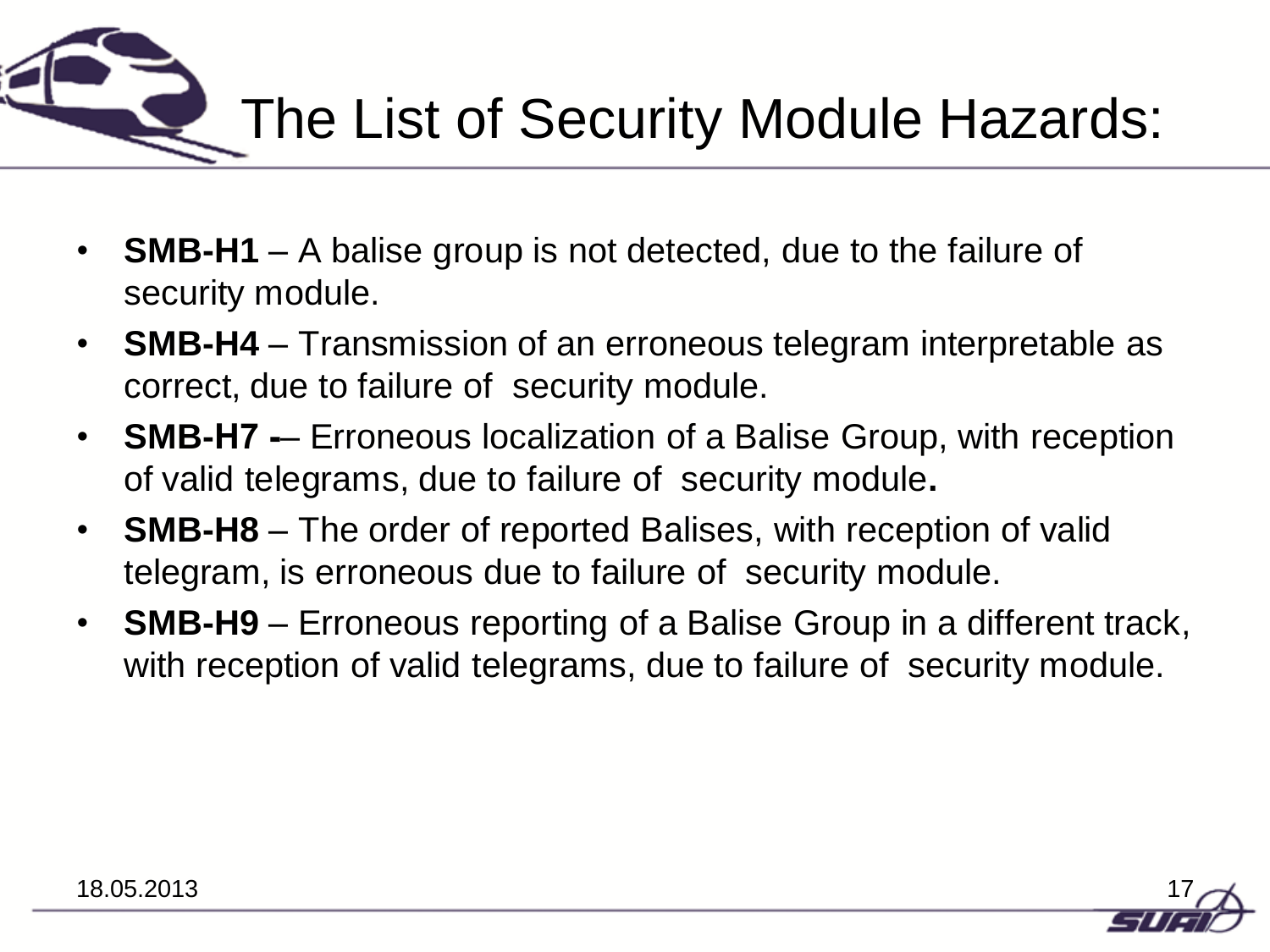

- **SMB-H1** A balise group is not detected, due to the failure of security module.
- **SMB-H4** Transmission of an erroneous telegram interpretable as correct, due to failure of security module.
- **SMB-H7**  Erroneous localization of a Balise Group, with reception of valid telegrams, due to failure of security module**.**
- **SMB-H8** The order of reported Balises, with reception of valid telegram, is erroneous due to failure of security module.
- **SMB-H9** Erroneous reporting of a Balise Group in a different track, with reception of valid telegrams, due to failure of security module.

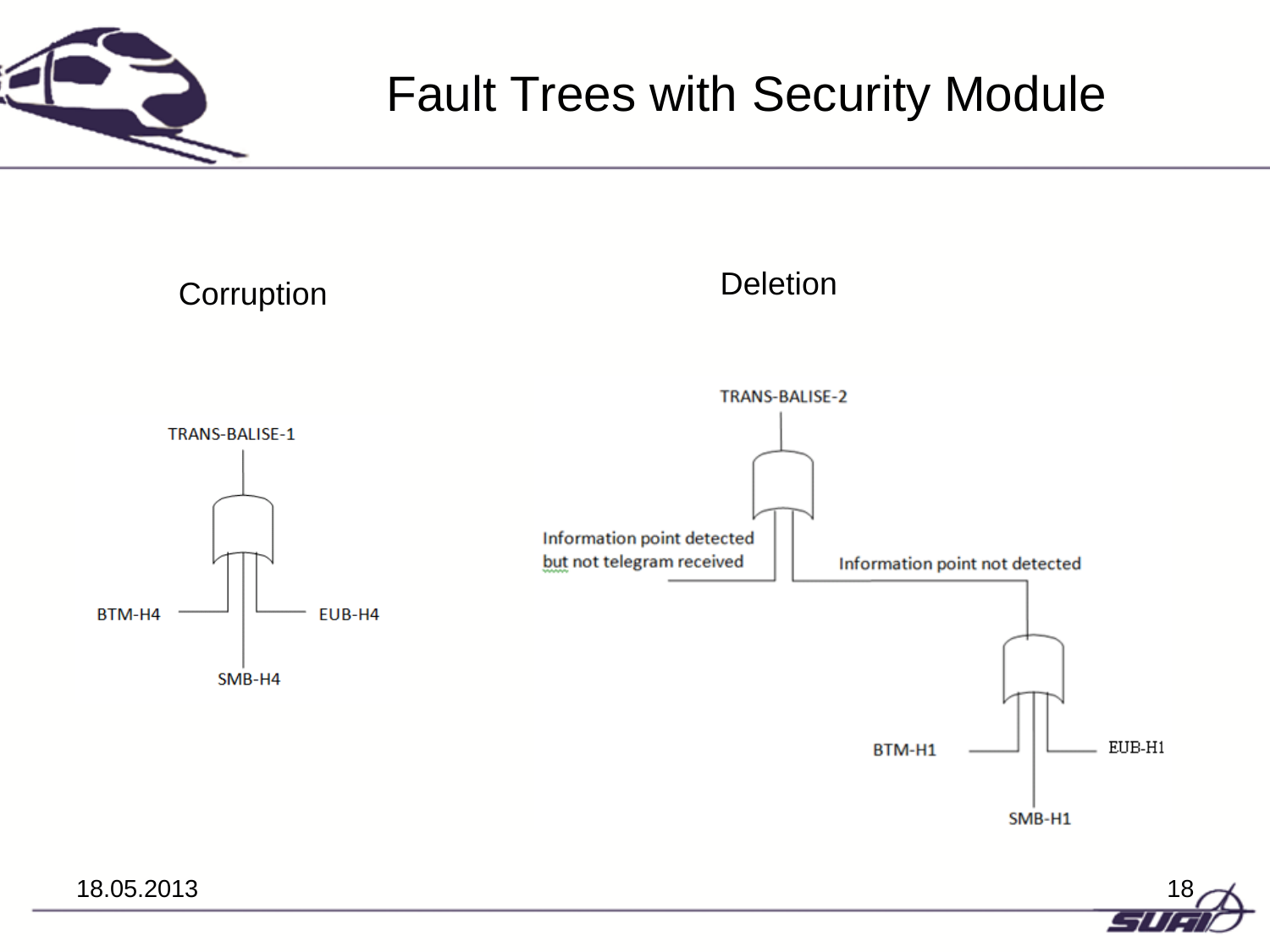

### Fault Trees with Security Module



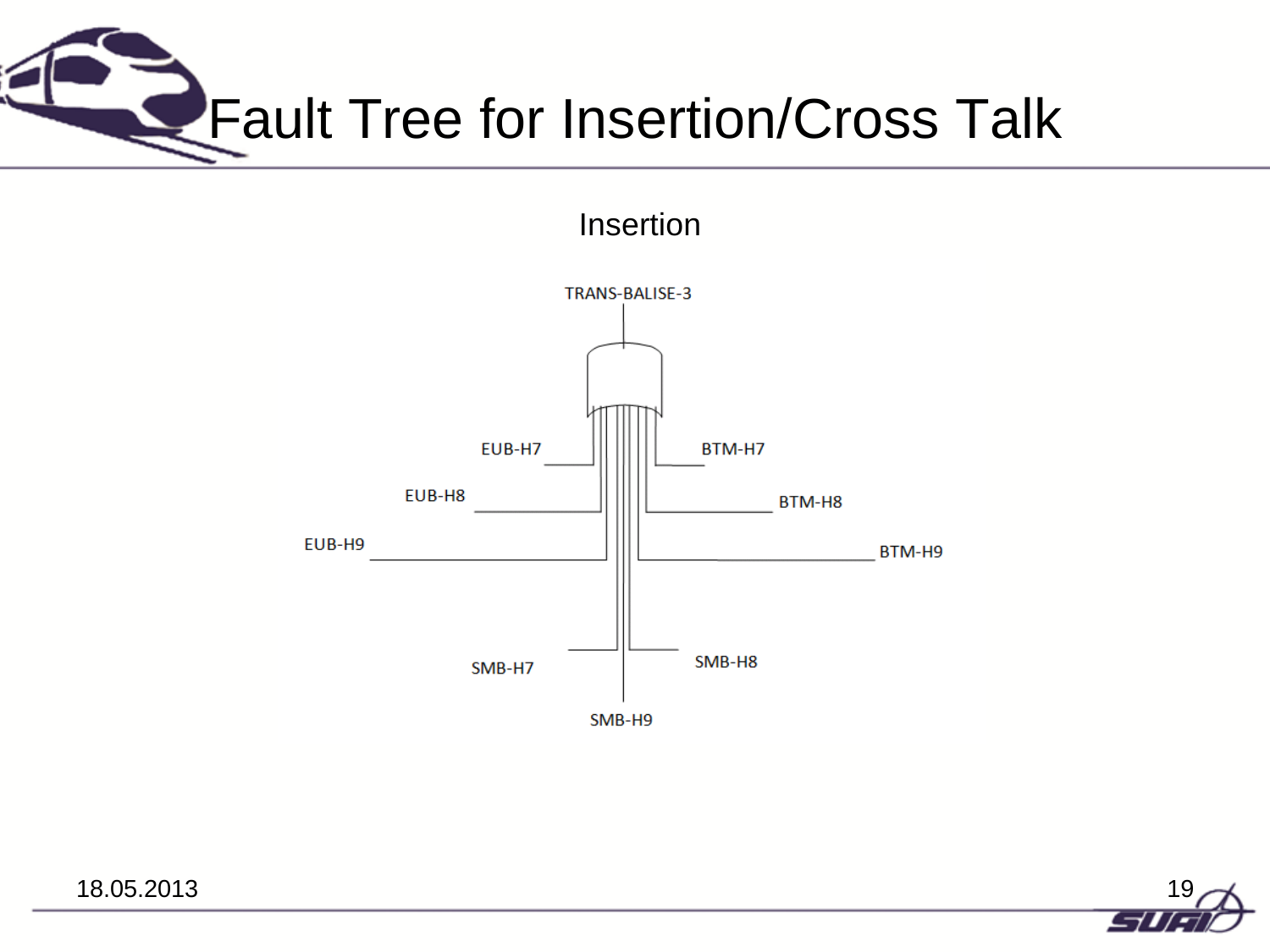

Insertion



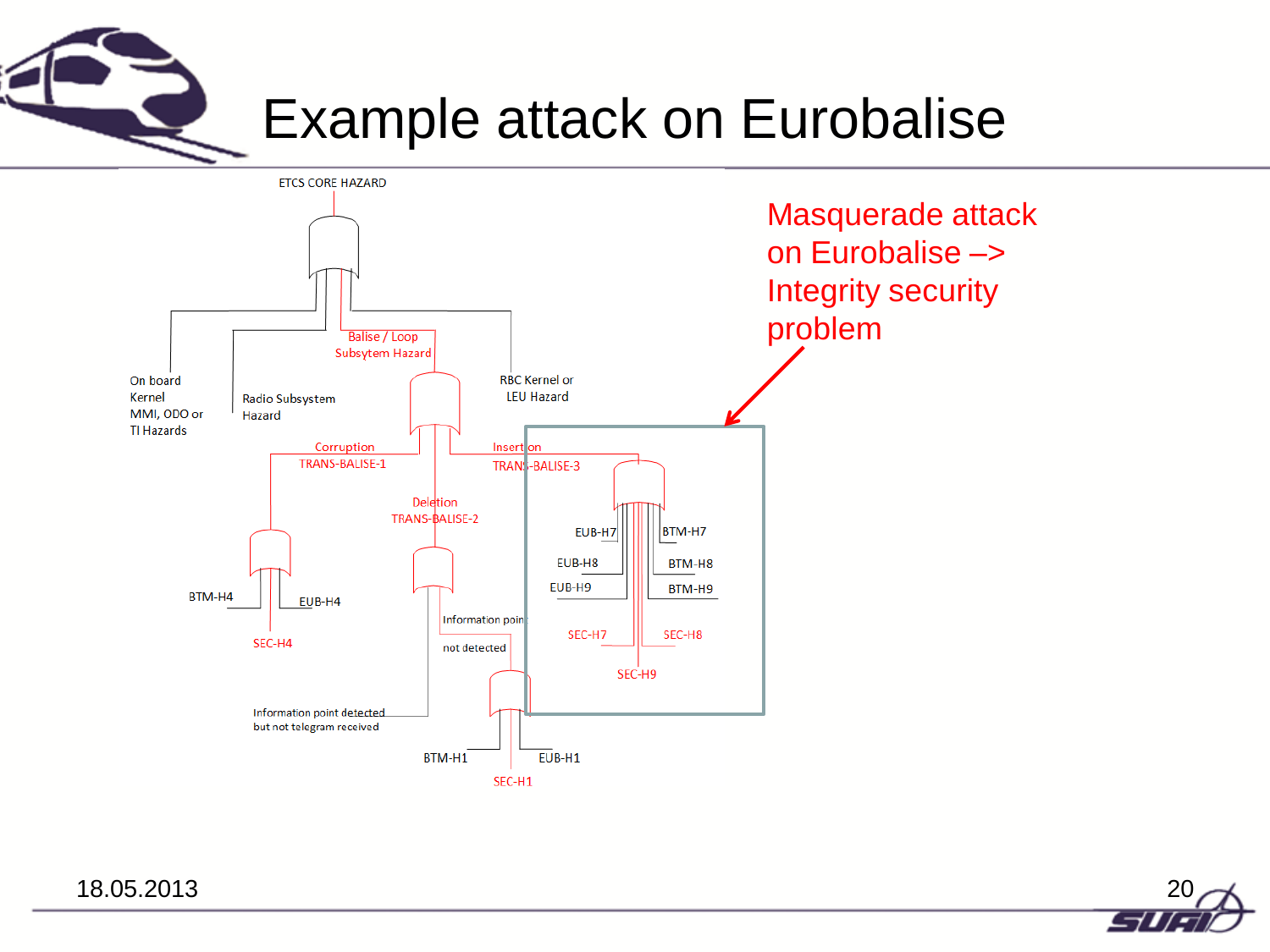

### Example attack on Eurobalise



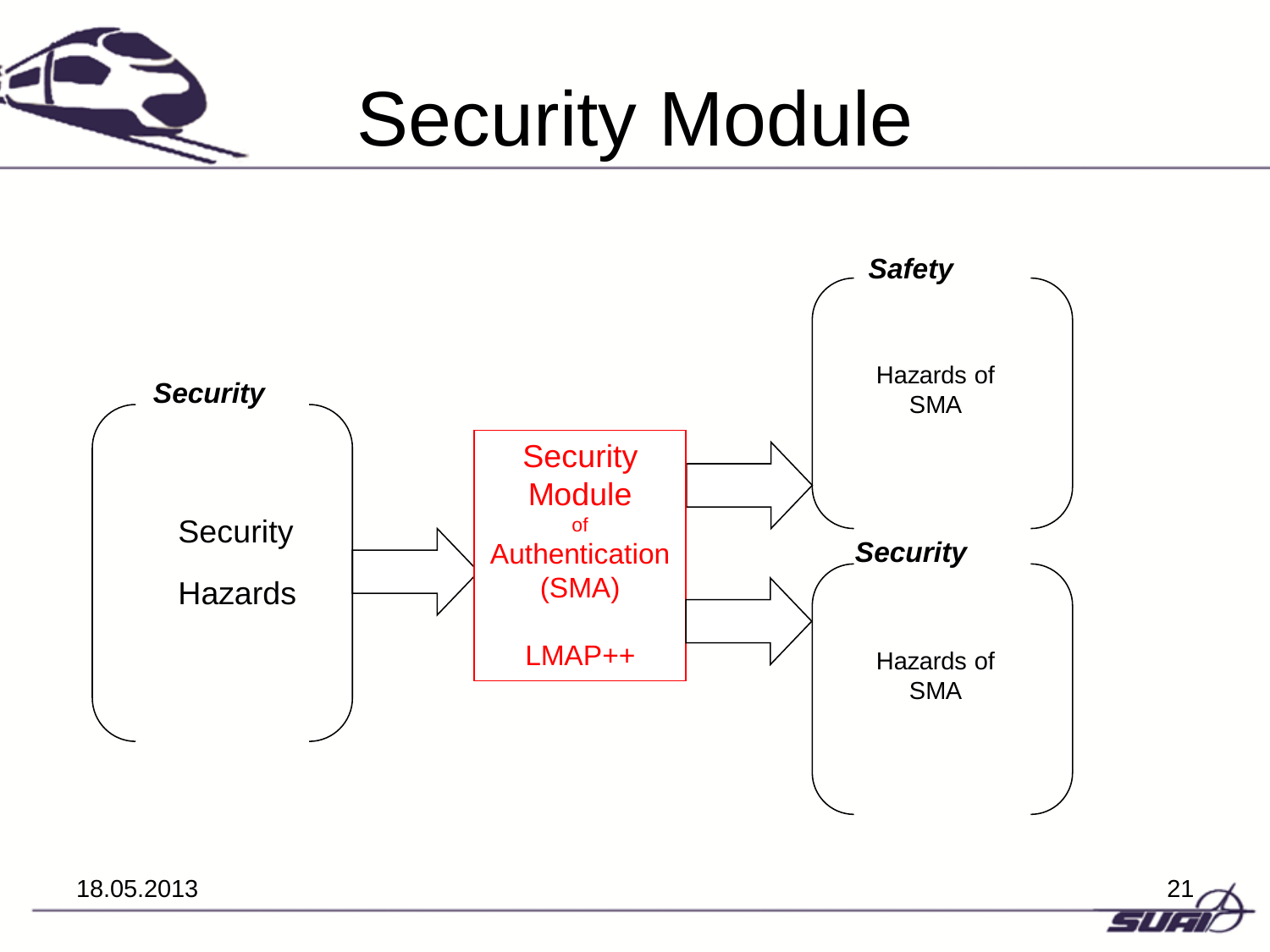

# Security Module



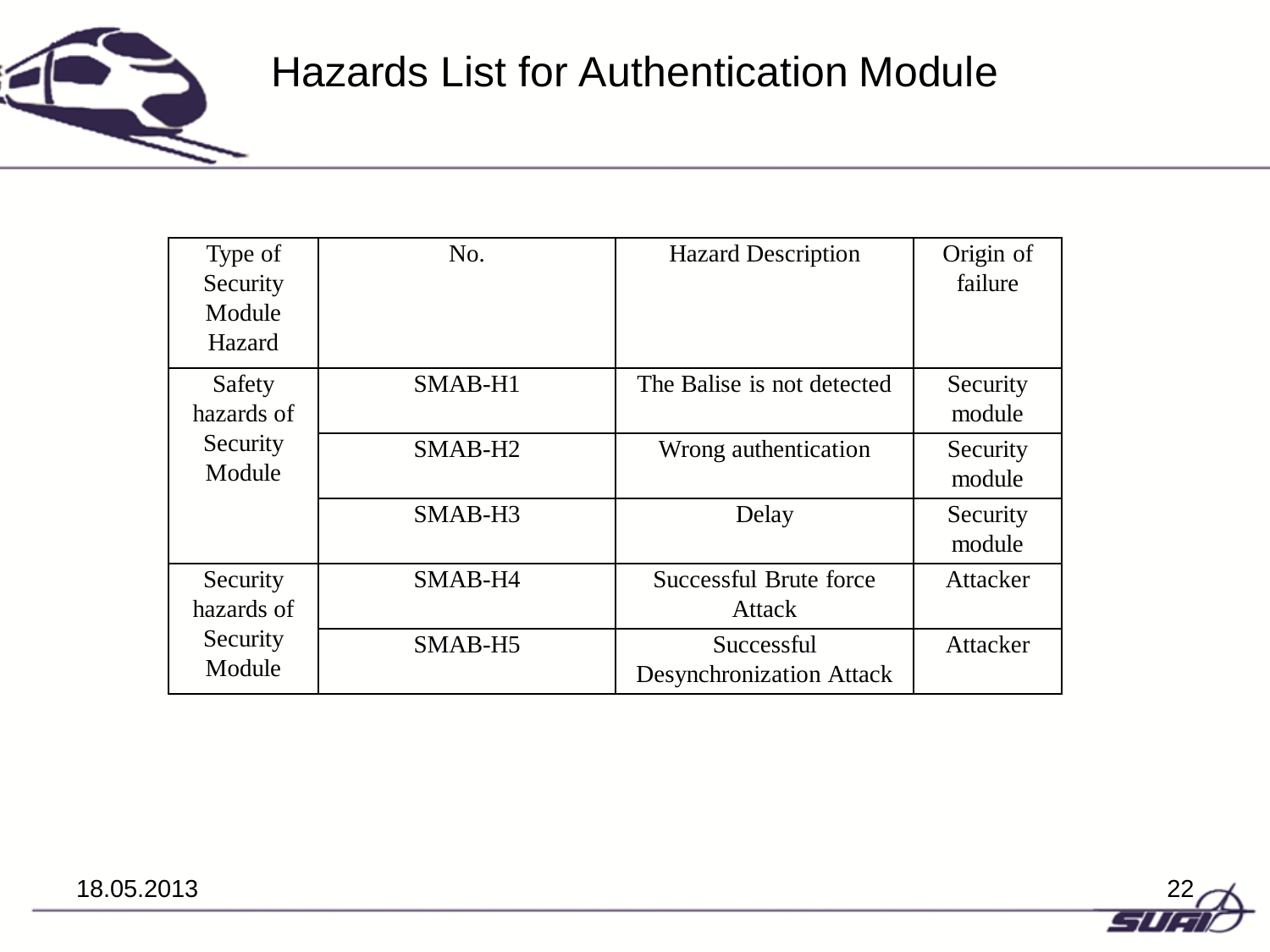

### Hazards List for Authentication Module

| Type of<br>Security<br>Module<br>Hazard | No.                 | <b>Hazard Description</b>                     | Origin of<br>failure |
|-----------------------------------------|---------------------|-----------------------------------------------|----------------------|
| Safety<br>hazards of                    | SMAB-H1             | The Balise is not detected                    | Security<br>module   |
| Security<br>Module                      | SMAB-H <sub>2</sub> | Wrong authentication                          | Security<br>module   |
|                                         | SMAB-H <sub>3</sub> | Delay                                         | Security<br>module   |
| Security<br>hazards of                  | SMAB-H4             | Successful Brute force<br>Attack              | Attacker             |
| Security<br>Module                      | SMAB-H5             | Successful<br><b>Desynchronization Attack</b> | Attacker             |

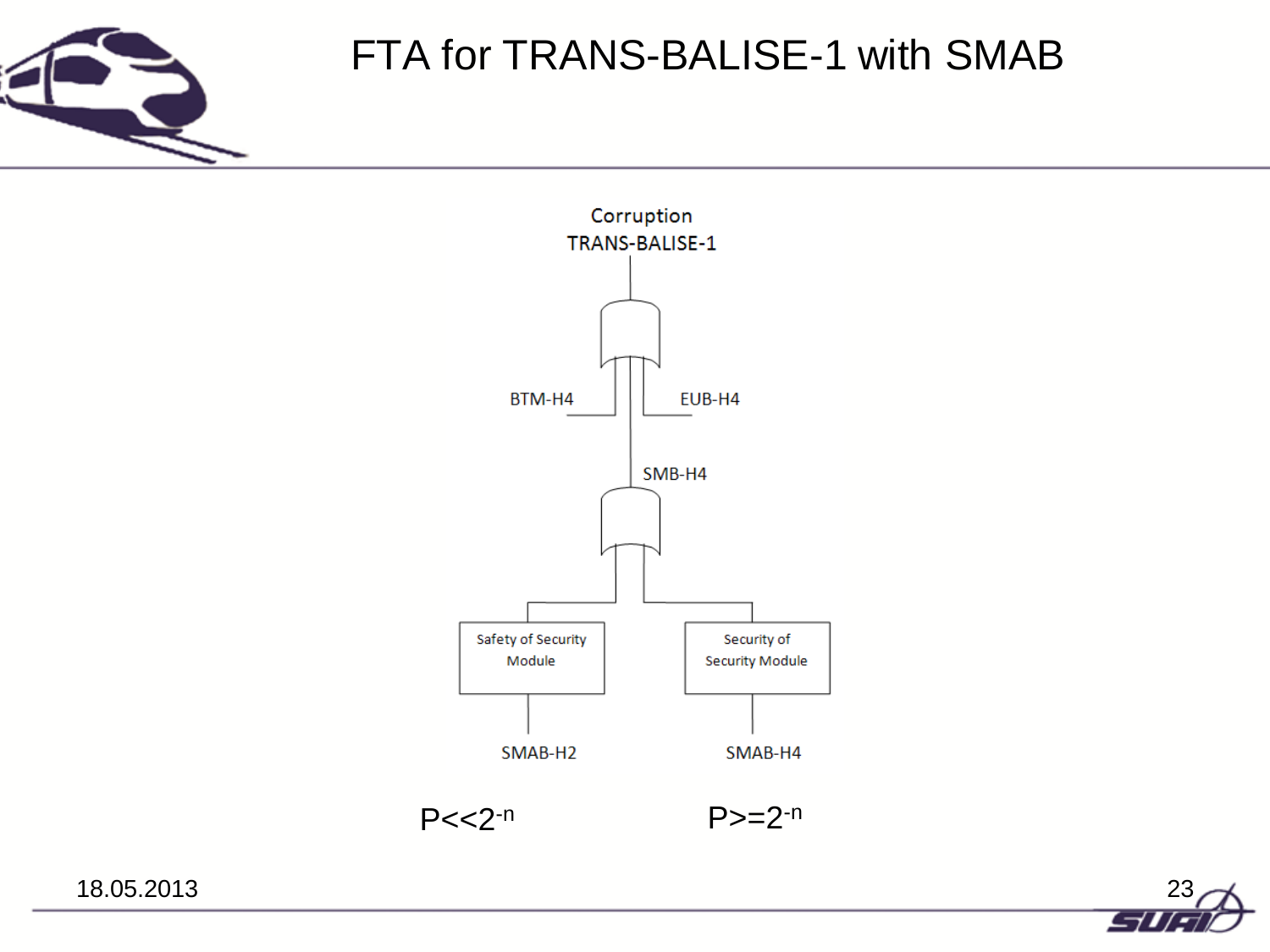

### FTA for TRANS-BALISE-1 with SMAB





18.05.2013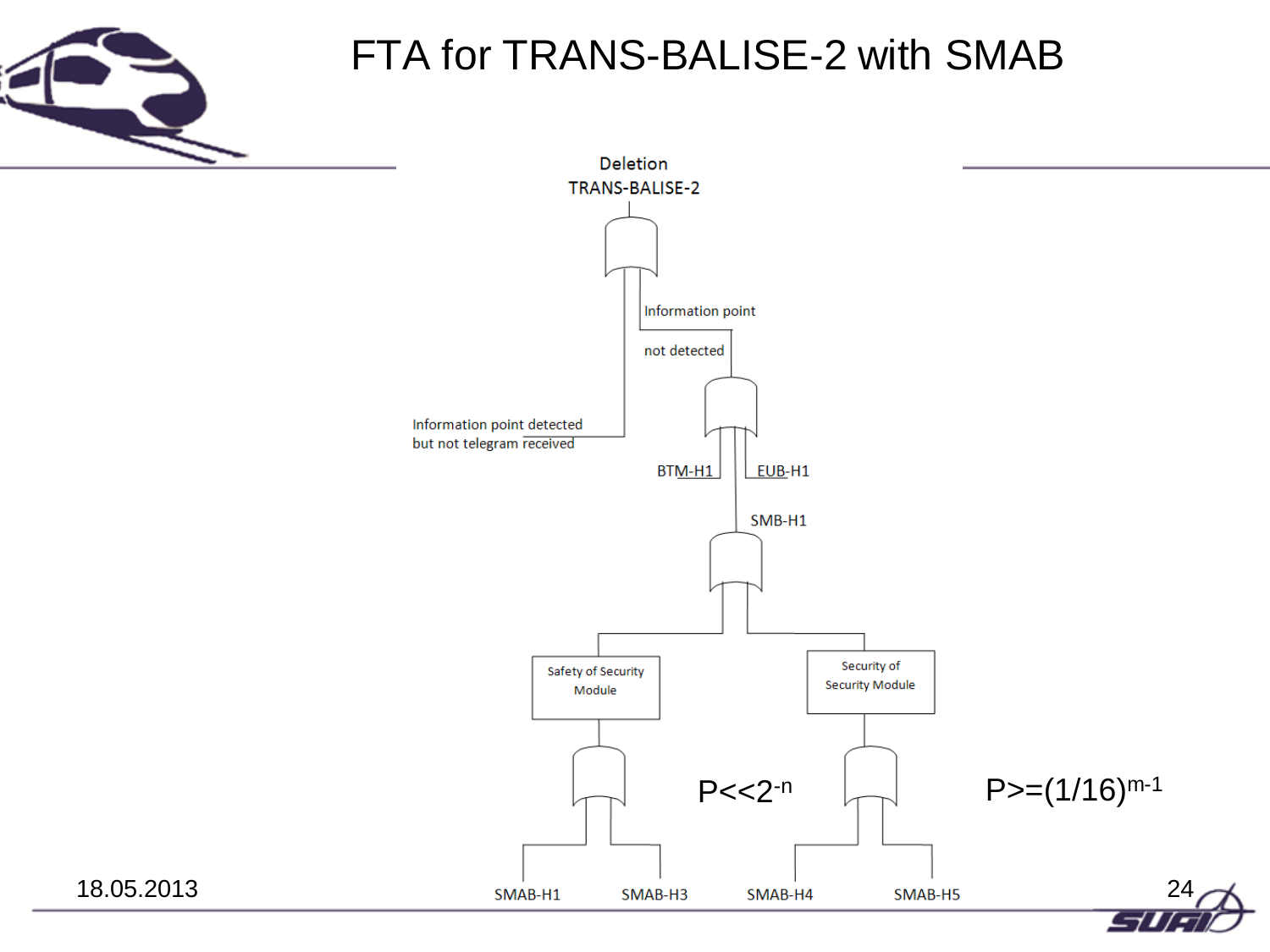

### FTA for TRANS-BALISE-2 with SMAB

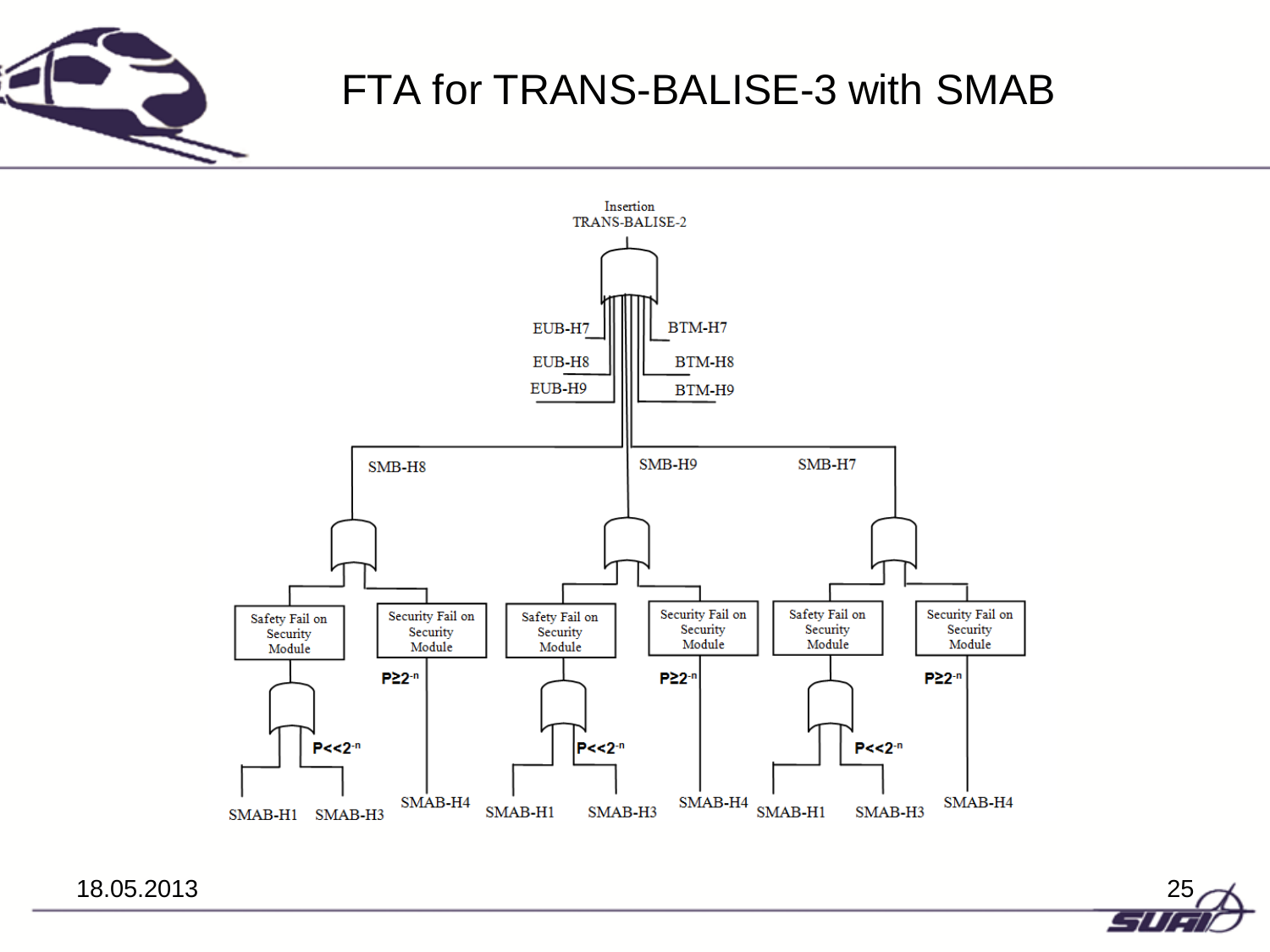

### FTA for TRANS-BALISE-3 with SMAB



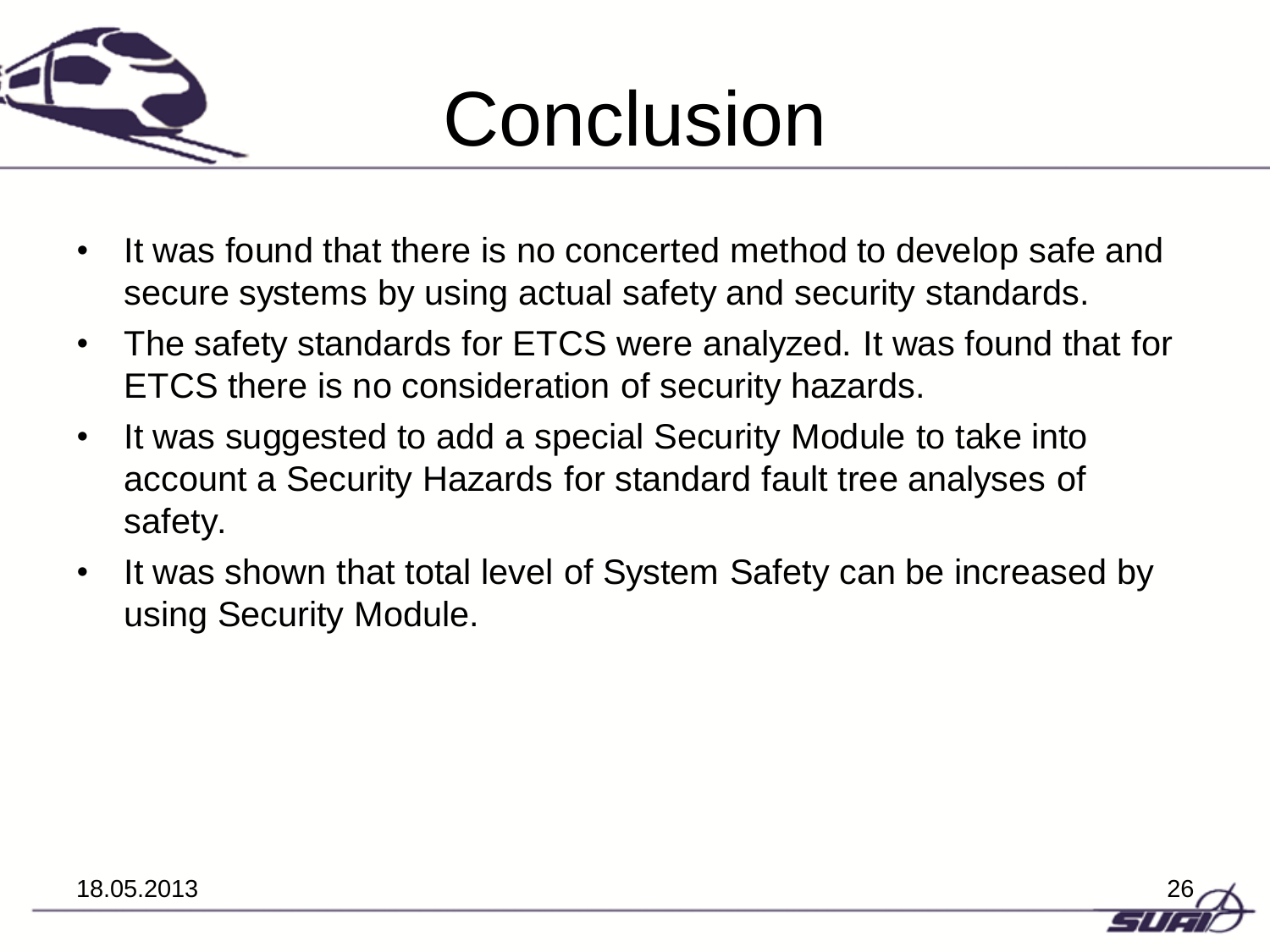

# Conclusion

- It was found that there is no concerted method to develop safe and secure systems by using actual safety and security standards.
- The safety standards for ETCS were analyzed. It was found that for ETCS there is no consideration of security hazards.
- It was suggested to add a special Security Module to take into account a Security Hazards for standard fault tree analyses of safety.
- It was shown that total level of System Safety can be increased by using Security Module.